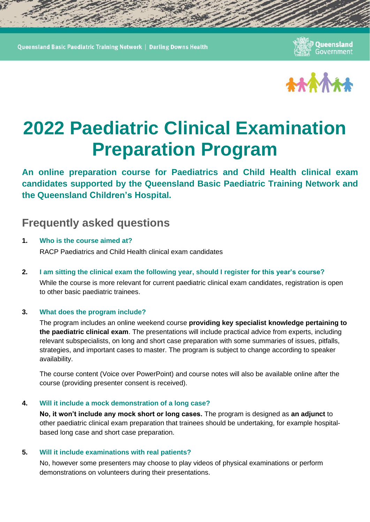Queensland Basic Paediatric Training Network | Darling Downs Health

Queensland Government



# **2022 Paediatric Clinical Examination Preparation Program**

**An online preparation course for Paediatrics and Child Health clinical exam candidates supported by the Queensland Basic Paediatric Training Network and the Queensland Children's Hospital.**

# **Frequently asked questions**

- **1. Who is the course aimed at?** RACP Paediatrics and Child Health clinical exam candidates
- **2. I am sitting the clinical exam the following year, should I register for this year's course?** While the course is more relevant for current paediatric clinical exam candidates, registration is open to other basic paediatric trainees.

# **3. What does the program include?**

The program includes an online weekend course **providing key specialist knowledge pertaining to the paediatric clinical exam**. The presentations will include practical advice from experts, including relevant subspecialists, on long and short case preparation with some summaries of issues, pitfalls, strategies, and important cases to master. The program is subject to change according to speaker availability.

The course content (Voice over PowerPoint) and course notes will also be available online after the course (providing presenter consent is received).

# **4. Will it include a mock demonstration of a long case?**

**No, it won't include any mock short or long cases.** The program is designed as **an adjunct** to other paediatric clinical exam preparation that trainees should be undertaking, for example hospitalbased long case and short case preparation.

# **5. Will it include examinations with real patients?**

No, however some presenters may choose to play videos of physical examinations or perform demonstrations on volunteers during their presentations.